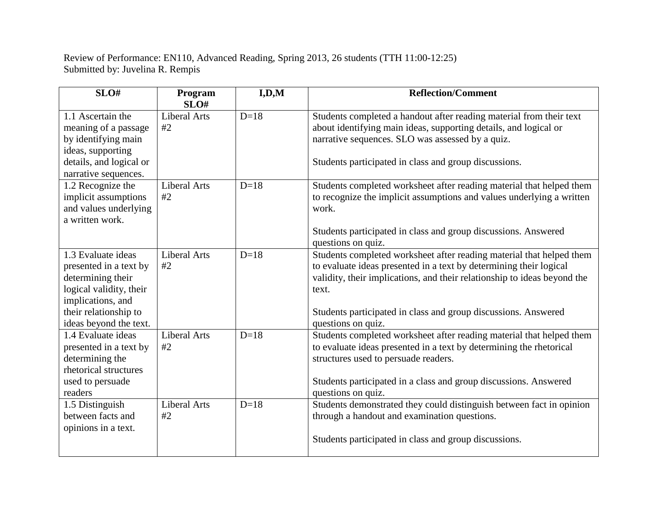Review of Performance: EN110, Advanced Reading, Spring 2013, 26 students (TTH 11:00-12:25) Submitted by: Juvelina R. Rempis

| SLO#                                                                                                                                                                 | Program<br>SLO#           | I, D, M | <b>Reflection/Comment</b>                                                                                                                                                                                                                                                                                               |
|----------------------------------------------------------------------------------------------------------------------------------------------------------------------|---------------------------|---------|-------------------------------------------------------------------------------------------------------------------------------------------------------------------------------------------------------------------------------------------------------------------------------------------------------------------------|
| 1.1 Ascertain the<br>meaning of a passage<br>by identifying main<br>ideas, supporting<br>details, and logical or<br>narrative sequences.                             | <b>Liberal Arts</b><br>#2 | $D=18$  | Students completed a handout after reading material from their text<br>about identifying main ideas, supporting details, and logical or<br>narrative sequences. SLO was assessed by a quiz.<br>Students participated in class and group discussions.                                                                    |
| 1.2 Recognize the<br>implicit assumptions<br>and values underlying<br>a written work.                                                                                | <b>Liberal Arts</b><br>#2 | $D=18$  | Students completed worksheet after reading material that helped them<br>to recognize the implicit assumptions and values underlying a written<br>work.<br>Students participated in class and group discussions. Answered<br>questions on quiz.                                                                          |
| 1.3 Evaluate ideas<br>presented in a text by<br>determining their<br>logical validity, their<br>implications, and<br>their relationship to<br>ideas beyond the text. | <b>Liberal Arts</b><br>#2 | $D=18$  | Students completed worksheet after reading material that helped them<br>to evaluate ideas presented in a text by determining their logical<br>validity, their implications, and their relationship to ideas beyond the<br>text.<br>Students participated in class and group discussions. Answered<br>questions on quiz. |
| 1.4 Evaluate ideas<br>presented in a text by<br>determining the<br>rhetorical structures<br>used to persuade<br>readers                                              | <b>Liberal Arts</b><br>#2 | $D=18$  | Students completed worksheet after reading material that helped them<br>to evaluate ideas presented in a text by determining the rhetorical<br>structures used to persuade readers.<br>Students participated in a class and group discussions. Answered<br>questions on quiz.                                           |
| 1.5 Distinguish<br>between facts and<br>opinions in a text.                                                                                                          | <b>Liberal Arts</b><br>#2 | $D=18$  | Students demonstrated they could distinguish between fact in opinion<br>through a handout and examination questions.<br>Students participated in class and group discussions.                                                                                                                                           |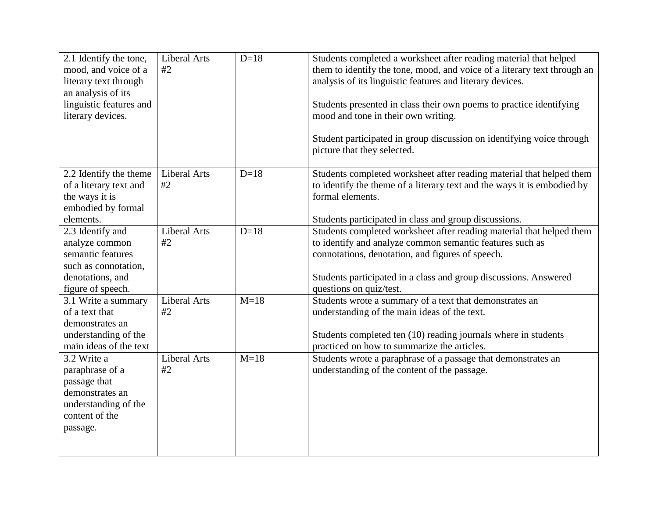| 2.1 Identify the tone,<br>mood, and voice of a<br>literary text through<br>an analysis of its<br>linguistic features and<br>literary devices. | <b>Liberal Arts</b><br>#2 | $D=18$ | Students completed a worksheet after reading material that helped<br>them to identify the tone, mood, and voice of a literary text through an<br>analysis of its linguistic features and literary devices.<br>Students presented in class their own poems to practice identifying<br>mood and tone in their own writing.<br>Student participated in group discussion on identifying voice through<br>picture that they selected. |
|-----------------------------------------------------------------------------------------------------------------------------------------------|---------------------------|--------|----------------------------------------------------------------------------------------------------------------------------------------------------------------------------------------------------------------------------------------------------------------------------------------------------------------------------------------------------------------------------------------------------------------------------------|
| 2.2 Identify the theme<br>of a literary text and<br>the ways it is<br>embodied by formal<br>elements.                                         | <b>Liberal Arts</b><br>#2 | $D=18$ | Students completed worksheet after reading material that helped them<br>to identify the theme of a literary text and the ways it is embodied by<br>formal elements.<br>Students participated in class and group discussions.                                                                                                                                                                                                     |
| 2.3 Identify and<br>analyze common<br>semantic features<br>such as connotation,<br>denotations, and<br>figure of speech.                      | <b>Liberal Arts</b><br>#2 | $D=18$ | Students completed worksheet after reading material that helped them<br>to identify and analyze common semantic features such as<br>connotations, denotation, and figures of speech.<br>Students participated in a class and group discussions. Answered<br>questions on quiz/test.                                                                                                                                              |
| 3.1 Write a summary<br>of a text that<br>demonstrates an<br>understanding of the<br>main ideas of the text                                    | <b>Liberal Arts</b><br>#2 | $M=18$ | Students wrote a summary of a text that demonstrates an<br>understanding of the main ideas of the text.<br>Students completed ten (10) reading journals where in students<br>practiced on how to summarize the articles.                                                                                                                                                                                                         |
| 3.2 Write a<br>paraphrase of a<br>passage that<br>demonstrates an<br>understanding of the<br>content of the<br>passage.                       | <b>Liberal Arts</b><br>#2 | $M=18$ | Students wrote a paraphrase of a passage that demonstrates an<br>understanding of the content of the passage.                                                                                                                                                                                                                                                                                                                    |